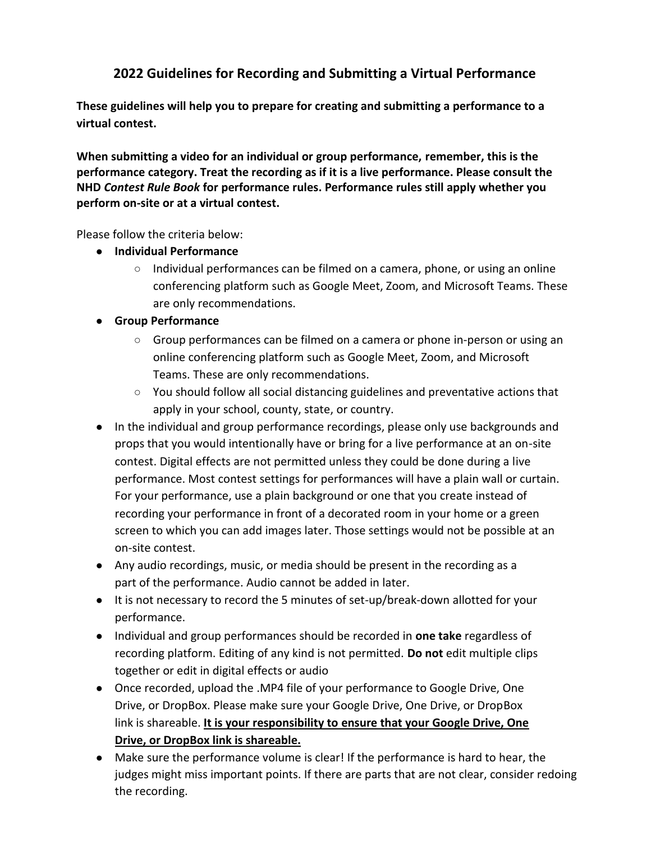## **2022 Guidelines for Recording and Submitting a Virtual Performance**

**These guidelines will help you to prepare for creating and submitting a performance to a virtual contest.** 

**When submitting a video for an individual or group performance, remember, this is the performance category. Treat the recording as if it is a live performance. Please consult the NHD** *[Contest Rule Book](https://www.nhd.org/sites/default/files/NHDRuleBook2021Digital.pdf)* **for performance rules. Performance rules still apply whether you perform on-site or at a virtual contest.** 

Please follow the criteria below:

- **● Individual Performance**
	- Individual performances can be filmed on a camera, phone, or using an online conferencing platform such as Google Meet, Zoom, and Microsoft Teams. These are only recommendations.

## **● Group Performance**

- Group performances can be filmed on a camera or phone in-person or using an online conferencing platform such as Google Meet, Zoom, and Microsoft Teams. These are only recommendations.
- $\circ$  You should follow all social distancing guidelines and preventative actions that apply in your school, county, state, or country.
- In the individual and group performance recordings, please only use backgrounds and props that you would intentionally have or bring for a live performance at an on-site contest. Digital effects are not permitted unless they could be done during a live performance. Most contest settings for performances will have a plain wall or curtain. For your performance, use a plain background or one that you create instead of recording your performance in front of a decorated room in your home or a green screen to which you can add images later. Those settings would not be possible at an on-site contest.
- Any audio recordings, music, or media should be present in the recording as a part of the performance. Audio cannot be added in later.
- It is not necessary to record the 5 minutes of set-up/break-down allotted for your performance.
- Individual and group performances should be recorded in **one take** regardless of recording platform. Editing of any kind is not permitted. **Do not** edit multiple clips together or edit in digital effects or audio
- Once recorded, upload the .MP4 file of your performance to Google Drive, One Drive, or DropBox. Please make sure your Google Drive, One Drive, or DropBox link is shareable. **It is your responsibility to ensure that your Google Drive, One Drive, or DropBox link is shareable.**
- Make sure the performance volume is clear! If the performance is hard to hear, the judges might miss important points. If there are parts that are not clear, consider redoing the recording.